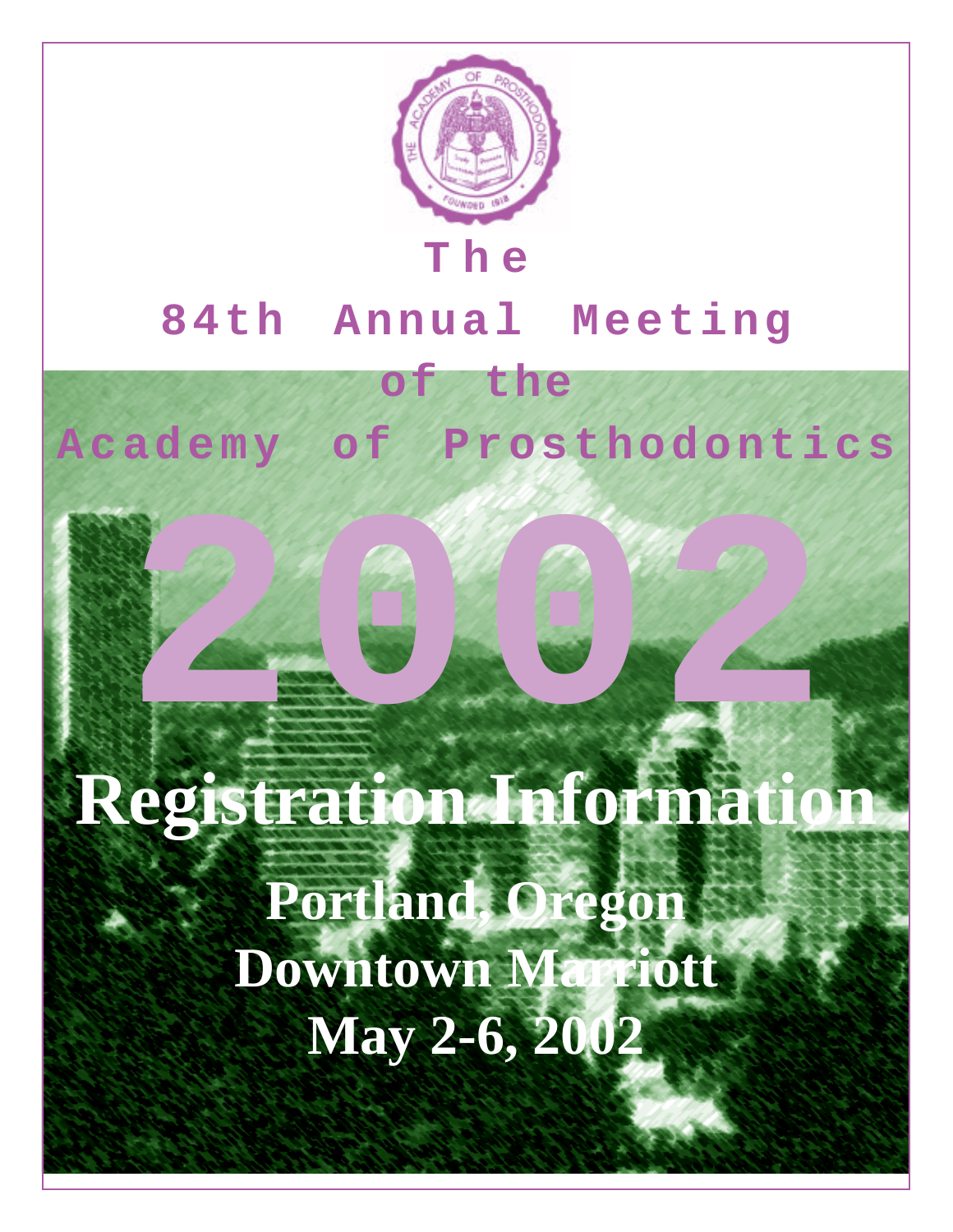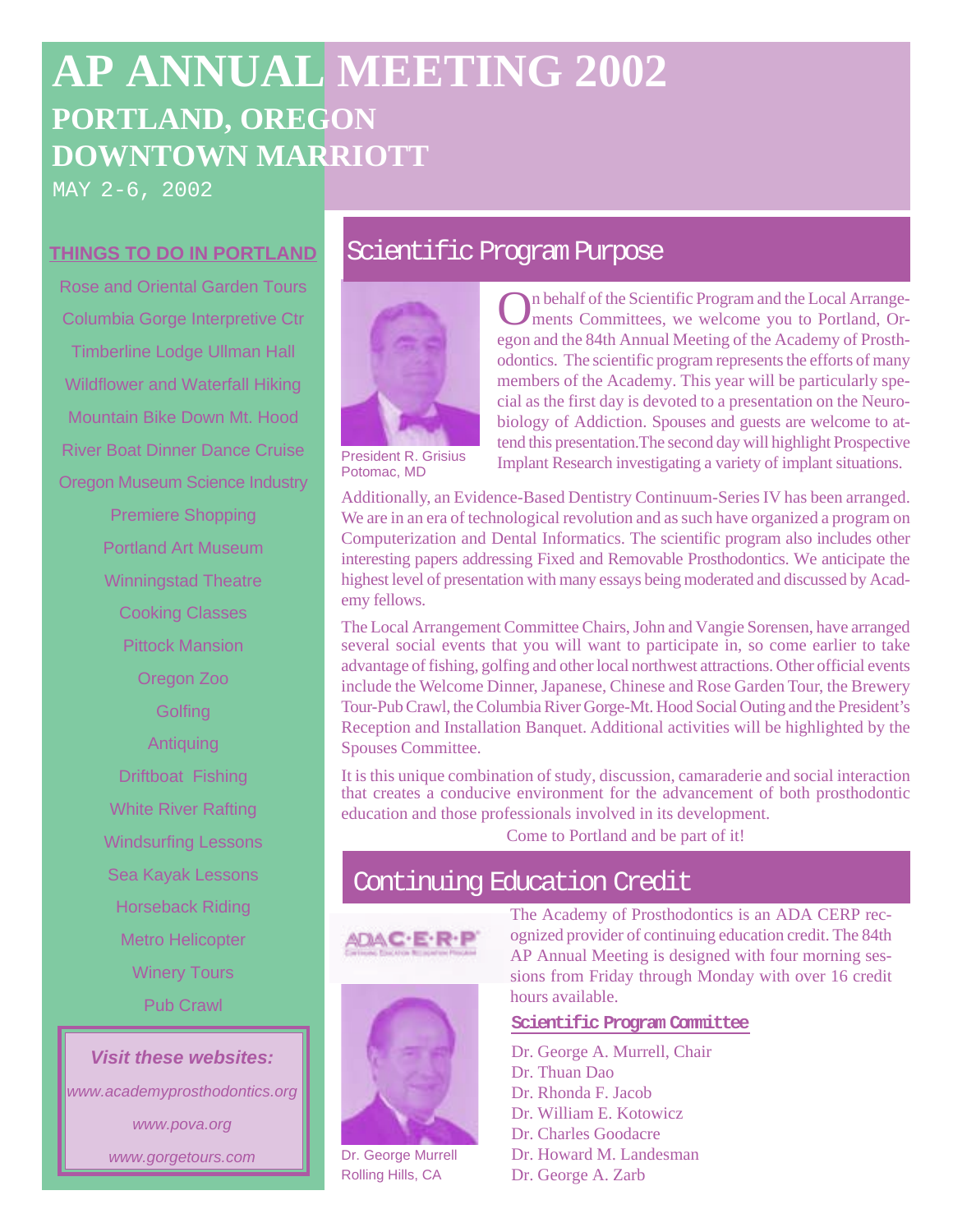# **AP ANNUAL MEETING 2002 PORTLAND, OREGON DOWNTOWN MARRIOTT**

MAY 2-6, 2002

Rose and Oriental Garden Tours Columbia Gorge Interpretive Ctr Timberline Lodge Ullman Hall Wildflower and Waterfall Hiking Mountain Bike Down Mt. Hood River Boat Dinner Dance Cruise Oregon Museum Science Industry Premiere Shopping Portland Art Museum Winningstad Theatre Cooking Classes Pittock Mansion Oregon Zoo **Golfing** Antiquing Driftboat Fishing White River Rafting Windsurfing Lessons Sea Kayak Lessons Horseback Riding Metro Helicopter Winery Tours Pub Crawl

**Visit these websites:**

www.academyprosthodontics.org www.pova.org www.gorgetours.com

## **THINGS TO DO IN PORTLAND Scientific Program Purpose**



Potomac, MD

On behalf of the Scientific Program and the Local Arrangements Committees, we welcome you to Portland, Oregon and the 84th Annual Meeting of the Academy of Prosthodontics. The scientific program represents the efforts of many members of the Academy. This year will be particularly special as the first day is devoted to a presentation on the Neurobiology of Addiction. Spouses and guests are welcome to attend this presentation.The second day will highlight Prospective Implant Research investigating a variety of implant situations.

Additionally, an Evidence-Based Dentistry Continuum-Series IV has been arranged. We are in an era of technological revolution and as such have organized a program on Computerization and Dental Informatics. The scientific program also includes other interesting papers addressing Fixed and Removable Prosthodontics. We anticipate the highest level of presentation with many essays being moderated and discussed by Academy fellows.

The Local Arrangement Committee Chairs, John and Vangie Sorensen, have arranged several social events that you will want to participate in, so come earlier to take advantage of fishing, golfing and other local northwest attractions. Other official events include the Welcome Dinner, Japanese, Chinese and Rose Garden Tour, the Brewery Tour-Pub Crawl, the Columbia River Gorge-Mt. Hood Social Outing and the President's Reception and Installation Banquet. Additional activities will be highlighted by the Spouses Committee.

It is this unique combination of study, discussion, camaraderie and social interaction that creates a conducive environment for the advancement of both prosthodontic education and those professionals involved in its development.

Come to Portland and be part of it!

## Continuing Education Credit





Dr. George Murrell Rolling Hills, CA

The Academy of Prosthodontics is an ADA CERP recognized provider of continuing education credit. The 84th AP Annual Meeting is designed with four morning sessions from Friday through Monday with over 16 credit hours available.

#### **Scientific Program Committee**

Dr. George A. Murrell, Chair Dr. Thuan Dao Dr. Rhonda F. Jacob Dr. William E. Kotowicz Dr. Charles Goodacre Dr. Howard M. Landesman Dr. George A. Zarb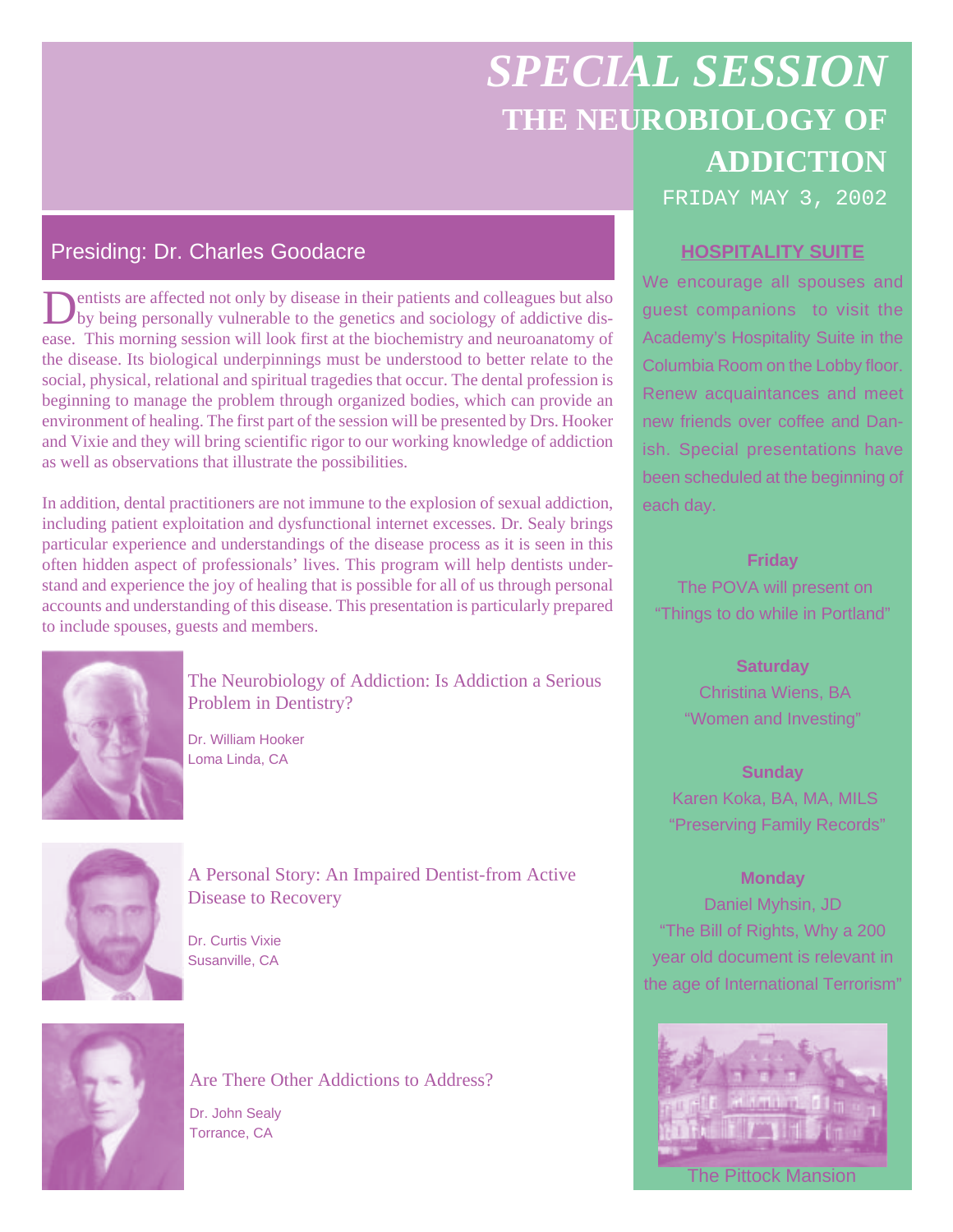# *SPECIAL SESSION* **THE NEUROBIOLOGY OF ADDICTION** FRIDAY MAY 3, 2002

## Presiding: Dr. Charles Goodacre **HOSPITALITY SUITE**

Dentists are affected not only by disease in their patients and colleagues but also<br>by being personally vulnerable to the genetics and sociology of addictive disease. This morning session will look first at the biochemistry and neuroanatomy of the disease. Its biological underpinnings must be understood to better relate to the social, physical, relational and spiritual tragedies that occur. The dental profession is beginning to manage the problem through organized bodies, which can provide an environment of healing. The first part of the session will be presented by Drs. Hooker and Vixie and they will bring scientific rigor to our working knowledge of addiction as well as observations that illustrate the possibilities.

In addition, dental practitioners are not immune to the explosion of sexual addiction, including patient exploitation and dysfunctional internet excesses. Dr. Sealy brings particular experience and understandings of the disease process as it is seen in this often hidden aspect of professionals' lives. This program will help dentists understand and experience the joy of healing that is possible for all of us through personal accounts and understanding of this disease. This presentation is particularly prepared to include spouses, guests and members.



The Neurobiology of Addiction: Is Addiction a Serious Problem in Dentistry?

Dr. William Hooker Loma Linda, CA



A Personal Story: An Impaired Dentist-from Active Disease to Recovery

Dr. Curtis Vixie Susanville, CA



Are There Other Addictions to Address?

Dr. John Sealy Torrance, CA

We encourage all spouses and guest companions to visit the Academy's Hospitality Suite in the Columbia Room on the Lobby floor. Renew acquaintances and meet new friends over coffee and Danish. Special presentations have been scheduled at the beginning of each day.

**Friday**

 The POVA will present on "Things to do while in Portland"

### **Saturday**

 Christina Wiens, BA "Women and Investing"

### **Sunday**

 Karen Koka, BA, MA, MILS "Preserving Family Records"

### **Monday**

Daniel Myhsin, JD "The Bill of Rights, Why a 200 year old document is relevant in the age of International Terrorism"

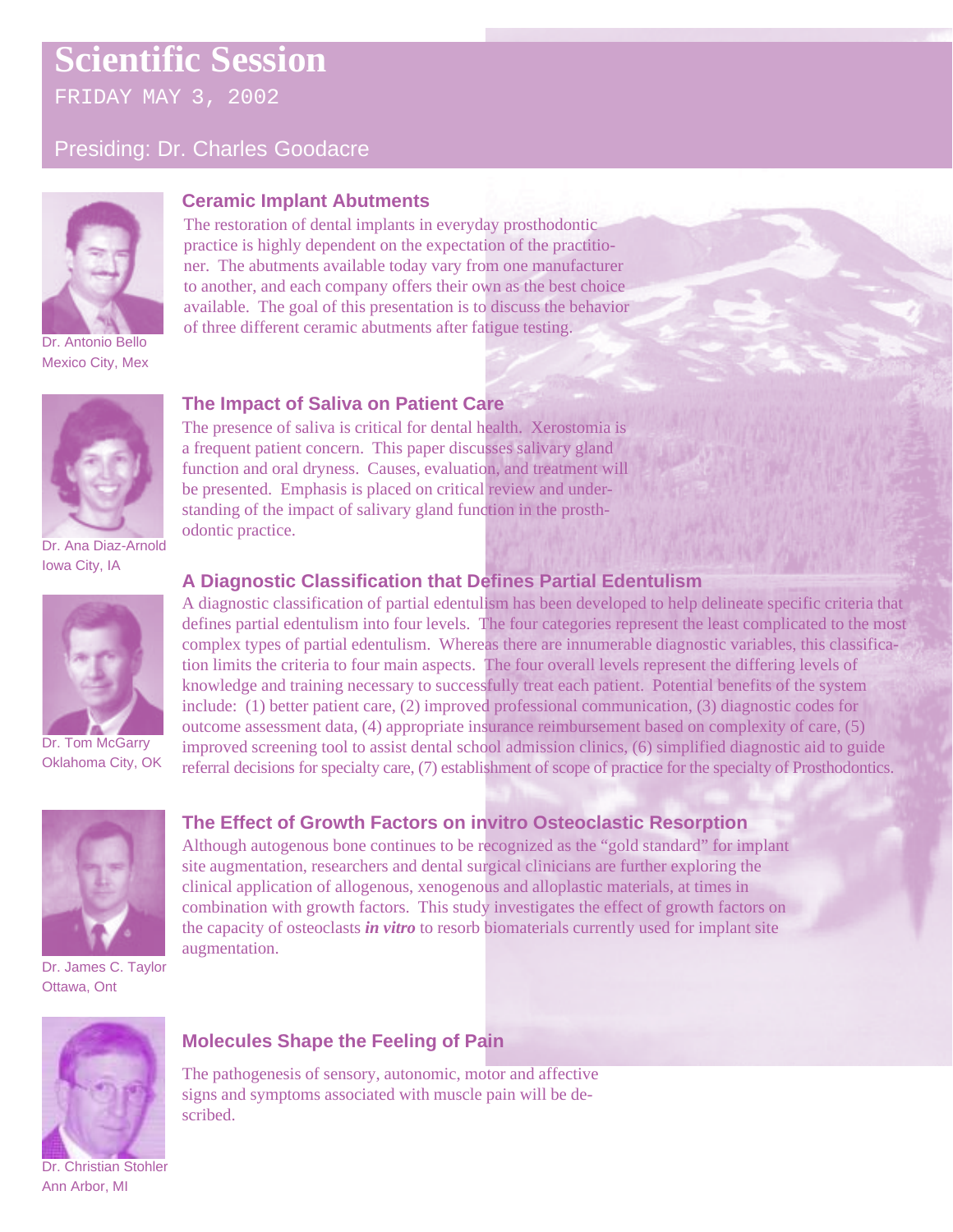FRIDAY MAY 3, 2002

### Presiding: Dr. Charles Goodacre



Mexico City, Mex

### **Ceramic Implant Abutments**

The restoration of dental implants in everyday prosthodontic practice is highly dependent on the expectation of the practitioner. The abutments available today vary from one manufacturer to another, and each company offers their own as the best choice available. The goal of this presentation is to discuss the behavior of three different ceramic abutments after fatigue testing.

### **The Impact of Saliva on Patient Care**



Dr. Ana Diaz-Arnold Iowa City, IA



Dr. Tom McGarry Oklahoma City, OK



### The presence of saliva is critical for dental health. Xerostomia is a frequent patient concern. This paper discusses salivary gland function and oral dryness. Causes, evaluation, and treatment will be presented. Emphasis is placed on critical review and understanding of the impact of salivary gland function in the prosthodontic practice.

### **A Diagnostic Classification that Defines Partial Edentulism**

**The Effect of Growth Factors on invitro Osteoclastic Resorption**

Although autogenous bone continues to be recognized as the "gold standard" for implant site augmentation, researchers and dental surgical clinicians are further exploring the clinical application of allogenous, xenogenous and alloplastic materials, at times in combination with growth factors. This study investigates the effect of growth factors on

A diagnostic classification of partial edentulism has been developed to help delineate specific criteria that defines partial edentulism into four levels. The four categories represent the least complicated to the most complex types of partial edentulism. Whereas there are innumerable diagnostic variables, this classification limits the criteria to four main aspects. The four overall levels represent the differing levels of knowledge and training necessary to successfully treat each patient. Potential benefits of the system include: (1) better patient care, (2) improved professional communication, (3) diagnostic codes for outcome assessment data, (4) appropriate insurance reimbursement based on complexity of care, (5) improved screening tool to assist dental school admission clinics, (6) simplified diagnostic aid to guide referral decisions for specialty care, (7) establishment of scope of practice for the specialty of Prosthodontics.

# Dr. James C. Taylor Ottawa, Ont the capacity of osteoclasts *in vitro* to resorb biomaterials currently used for implant site augmentation.

# **Molecules Shape the Feeling of Pain**

The pathogenesis of sensory, autonomic, motor and affective signs and symptoms associated with muscle pain will be described.

Dr. Christian Stohler Ann Arbor, MI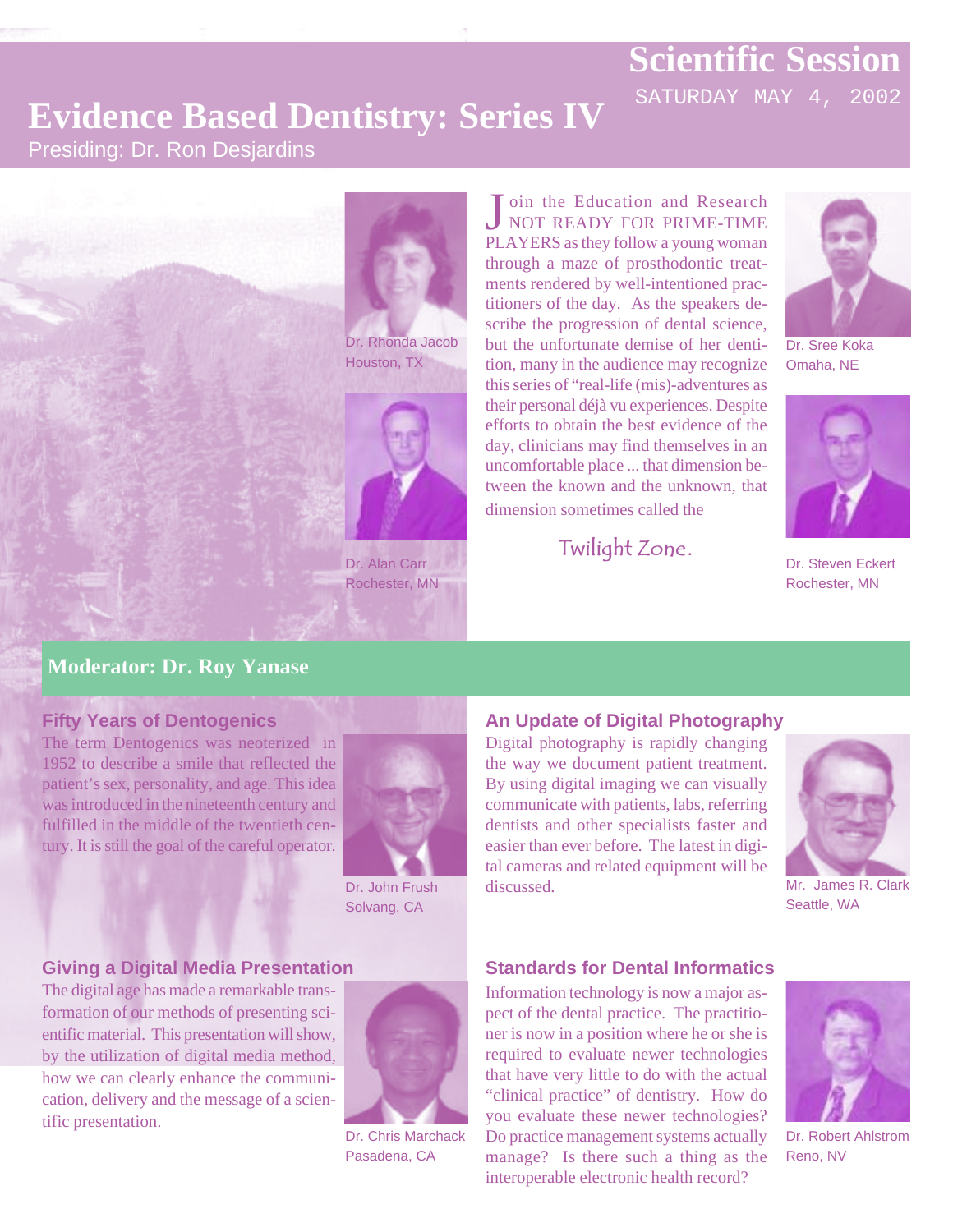SATURDAY MAY 4, 2002

# **Evidence Based Dentistry: Series IV**

### Presiding: Dr. Ron Desjardins



Dr. Rhonda Jacob Houston, TX



Dr. Alan Carr Rochester, MN

Join the Education and Research<br>NOT READY FOR PRIME-TIME PLAYERS as they follow a young woman through a maze of prosthodontic treatments rendered by well-intentioned practitioners of the day. As the speakers describe the progression of dental science, but the unfortunate demise of her dentition, many in the audience may recognize this series of "real-life (mis)-adventures as their personal déjà vu experiences. Despite efforts to obtain the best evidence of the day, clinicians may find themselves in an uncomfortable place ... that dimension between the known and the unknown, that dimension sometimes called the

Twilight Zone**.**



Dr. Sree Koka Omaha, NE



Dr. Steven Eckert Rochester, MN

### **Moderator: Dr. Roy Yanase**

### **Fifty Years of Dentogenics**

The term Dentogenics was neoterized in 1952 to describe a smile that reflected the patient's sex, personality, and age. This idea was introduced in the nineteenth century and fulfilled in the middle of the twentieth century. It is still the goal of the careful operator.



Dr. John Frush Solvang, CA

### **Giving a Digital Media Presentation**

The digital age has made a remarkable transformation of our methods of presenting scientific material. This presentation will show, by the utilization of digital media method, how we can clearly enhance the communication, delivery and the message of a scientific presentation.



Dr. Chris Marchack Pasadena, CA

### **An Update of Digital Photography**

Digital photography is rapidly changing the way we document patient treatment. By using digital imaging we can visually communicate with patients, labs, referring dentists and other specialists faster and easier than ever before. The latest in digital cameras and related equipment will be discussed.



Mr. James R. Clark Seattle, WA

### **Standards for Dental Informatics**

Information technology is now a major aspect of the dental practice. The practitioner is now in a position where he or she is required to evaluate newer technologies that have very little to do with the actual "clinical practice" of dentistry. How do you evaluate these newer technologies? Do practice management systems actually manage? Is there such a thing as the interoperable electronic health record?



Dr. Robert Ahlstrom Reno, NV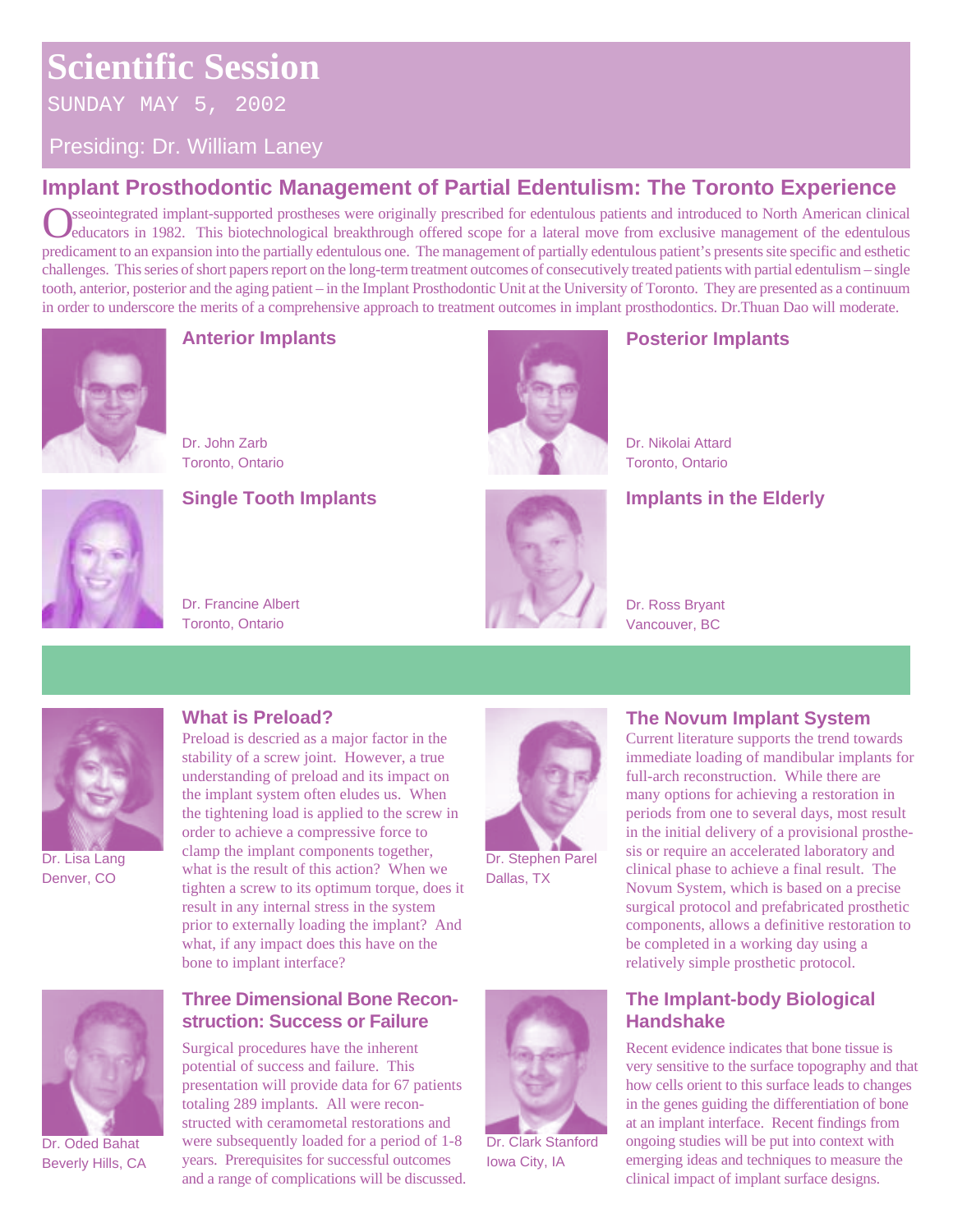SUNDAY MAY 5, 2002

### Presiding: Dr. William Laney

### **Implant Prosthodontic Management of Partial Edentulism: The Toronto Experience**

sseointegrated implant-supported prostheses were originally prescribed for edentulous patients and introduced to North American clinical educators in 1982. This biotechnological breakthrough offered scope for a lateral move from exclusive management of the edentulous predicament to an expansion into the partially edentulous one. The management of partially edentulous patient's presents site specific and esthetic challenges. This series of short papers report on the long-term treatment outcomes of consecutively treated patients with partial edentulism – single tooth, anterior, posterior and the aging patient – in the Implant Prosthodontic Unit at the University of Toronto. They are presented as a continuum in order to underscore the merits of a comprehensive approach to treatment outcomes in implant prosthodontics. Dr.Thuan Dao will moderate.



### **Anterior Implants**

Dr. John Zarb Toronto, Ontario



### **Single Tooth Implants**

Dr. Francine Albert Toronto, Ontario



### Dr. Nikolai Attard Toronto, Ontario

### **Implants in the Elderly**

**Posterior Implants**



Dr. Ross Bryant Vancouver, BC



Dr. Lisa Lang Denver, CO



Dr. Oded Bahat Beverly Hills, CA

Preload is descried as a major factor in the stability of a screw joint. However, a true understanding of preload and its impact on the implant system often eludes us. When the tightening load is applied to the screw in order to achieve a compressive force to clamp the implant components together, what is the result of this action? When we tighten a screw to its optimum torque, does it result in any internal stress in the system prior to externally loading the implant? And what, if any impact does this have on the bone to implant interface?

### **Three Dimensional Bone Reconstruction: Success or Failure**

Surgical procedures have the inherent potential of success and failure. This presentation will provide data for 67 patients totaling 289 implants. All were reconstructed with ceramometal restorations and were subsequently loaded for a period of 1-8 years. Prerequisites for successful outcomes and a range of complications will be discussed.



Dr. Stephen Parel Dallas, TX



Dr. Clark Stanford Iowa City, IA

### **What is Preload? The Novum Implant System**

Current literature supports the trend towards immediate loading of mandibular implants for full-arch reconstruction. While there are many options for achieving a restoration in periods from one to several days, most result in the initial delivery of a provisional prosthesis or require an accelerated laboratory and clinical phase to achieve a final result. The Novum System, which is based on a precise surgical protocol and prefabricated prosthetic components, allows a definitive restoration to be completed in a working day using a relatively simple prosthetic protocol.

### **The Implant-body Biological Handshake**

Recent evidence indicates that bone tissue is very sensitive to the surface topography and that how cells orient to this surface leads to changes in the genes guiding the differentiation of bone at an implant interface. Recent findings from ongoing studies will be put into context with emerging ideas and techniques to measure the clinical impact of implant surface designs.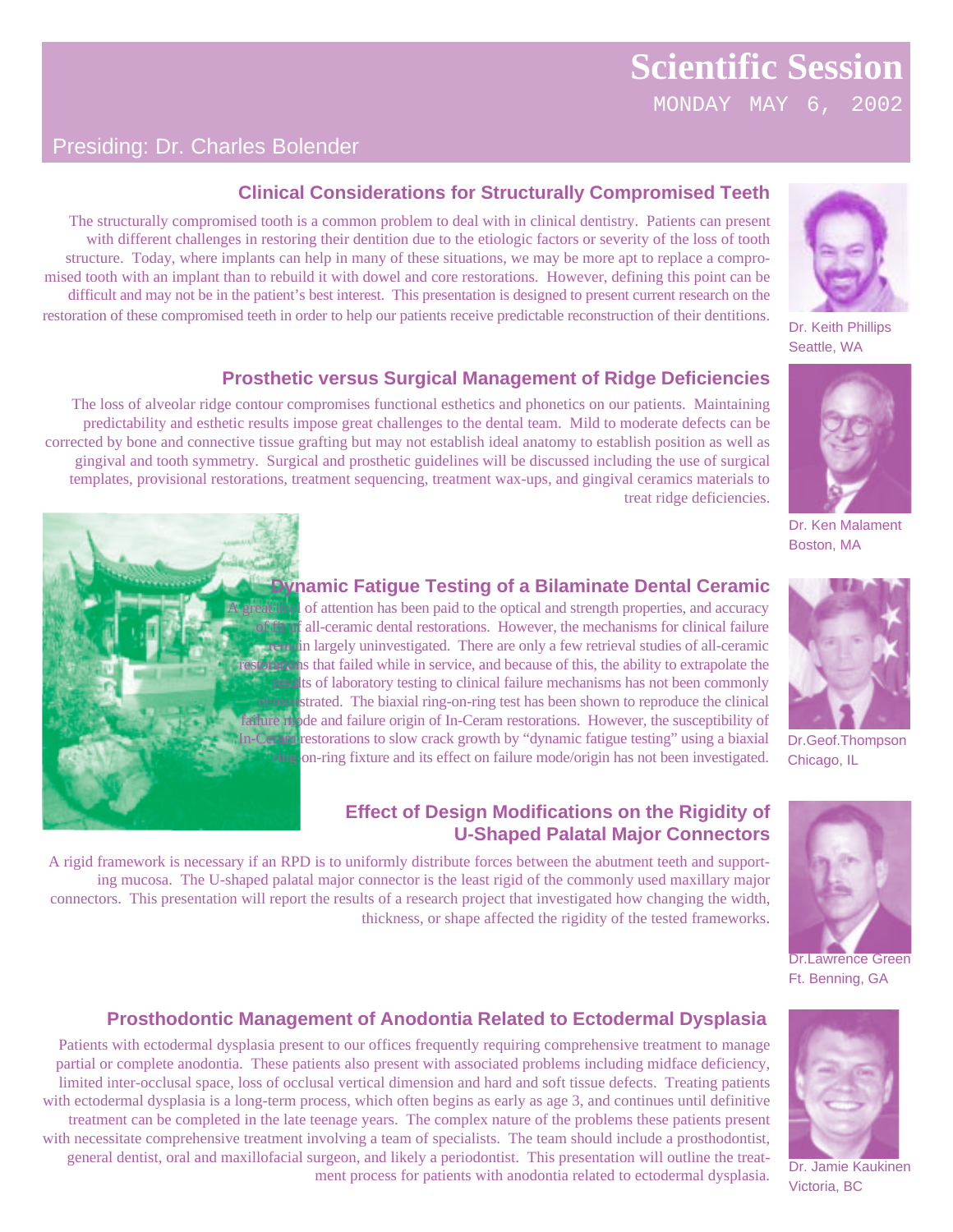MONDAY MAY 6, 2002

treat ridge deficiencies.

### Presiding: Dr. Charles Bolender



Dr. Keith Phillips Seattle, WA



Dr. Ken Malament Boston, MA



### **Dynamic Fatigue Testing of a Bilaminate Dental Ceramic**

**Clinical Considerations for Structurally Compromised Teeth**

The structurally compromised tooth is a common problem to deal with in clinical dentistry. Patients can present with different challenges in restoring their dentition due to the etiologic factors or severity of the loss of tooth structure. Today, where implants can help in many of these situations, we may be more apt to replace a compromised tooth with an implant than to rebuild it with dowel and core restorations. However, defining this point can be difficult and may not be in the patient's best interest. This presentation is designed to present current research on the restoration of these compromised teeth in order to help our patients receive predictable reconstruction of their dentitions.

The loss of alveolar ridge contour compromises functional esthetics and phonetics on our patients. Maintaining predictability and esthetic results impose great challenges to the dental team. Mild to moderate defects can be corrected by bone and connective tissue grafting but may not establish ideal anatomy to establish position as well as gingival and tooth symmetry. Surgical and prosthetic guidelines will be discussed including the use of surgical templates, provisional restorations, treatment sequencing, treatment wax-ups, and gingival ceramics materials to

**Prosthetic versus Surgical Management of Ridge Deficiencies**

great deal of attention has been paid to the optical and strength properties, and accuracy f all-ceramic dental restorations. However, the mechanisms for clinical failure remain largely uninvestigated. There are only a few retrieval studies of all-ceramic restorations that failed while in service, and because of this, the ability to extrapolate the results of laboratory testing to clinical failure mechanisms has not been commonly demonstrated. The biaxial ring-on-ring test has been shown to reproduce the clinical failure mode and failure origin of In-Ceram restorations. However, the susceptibility of In-Ceram restorations to slow crack growth by "dynamic fatigue testing" using a biaxial ring-on-ring fixture and its effect on failure mode/origin has not been investigated.

### **Effect of Design Modifications on the Rigidity of U-Shaped Palatal Major Connectors**

A rigid framework is necessary if an RPD is to uniformly distribute forces between the abutment teeth and supporting mucosa. The U-shaped palatal major connector is the least rigid of the commonly used maxillary major connectors. This presentation will report the results of a research project that investigated how changing the width, thickness, or shape affected the rigidity of the tested frameworks.



Dr.Lawrence Green Ft. Benning, GA



Dr. Jamie Kaukinen Victoria, BC

### **Prosthodontic Management of Anodontia Related to Ectodermal Dysplasia**

Patients with ectodermal dysplasia present to our offices frequently requiring comprehensive treatment to manage partial or complete anodontia. These patients also present with associated problems including midface deficiency, limited inter-occlusal space, loss of occlusal vertical dimension and hard and soft tissue defects. Treating patients with ectodermal dysplasia is a long-term process, which often begins as early as age 3, and continues until definitive treatment can be completed in the late teenage years. The complex nature of the problems these patients present with necessitate comprehensive treatment involving a team of specialists. The team should include a prosthodontist, general dentist, oral and maxillofacial surgeon, and likely a periodontist. This presentation will outline the treatment process for patients with anodontia related to ectodermal dysplasia.



Dr.Geof.Thompson Chicago, IL

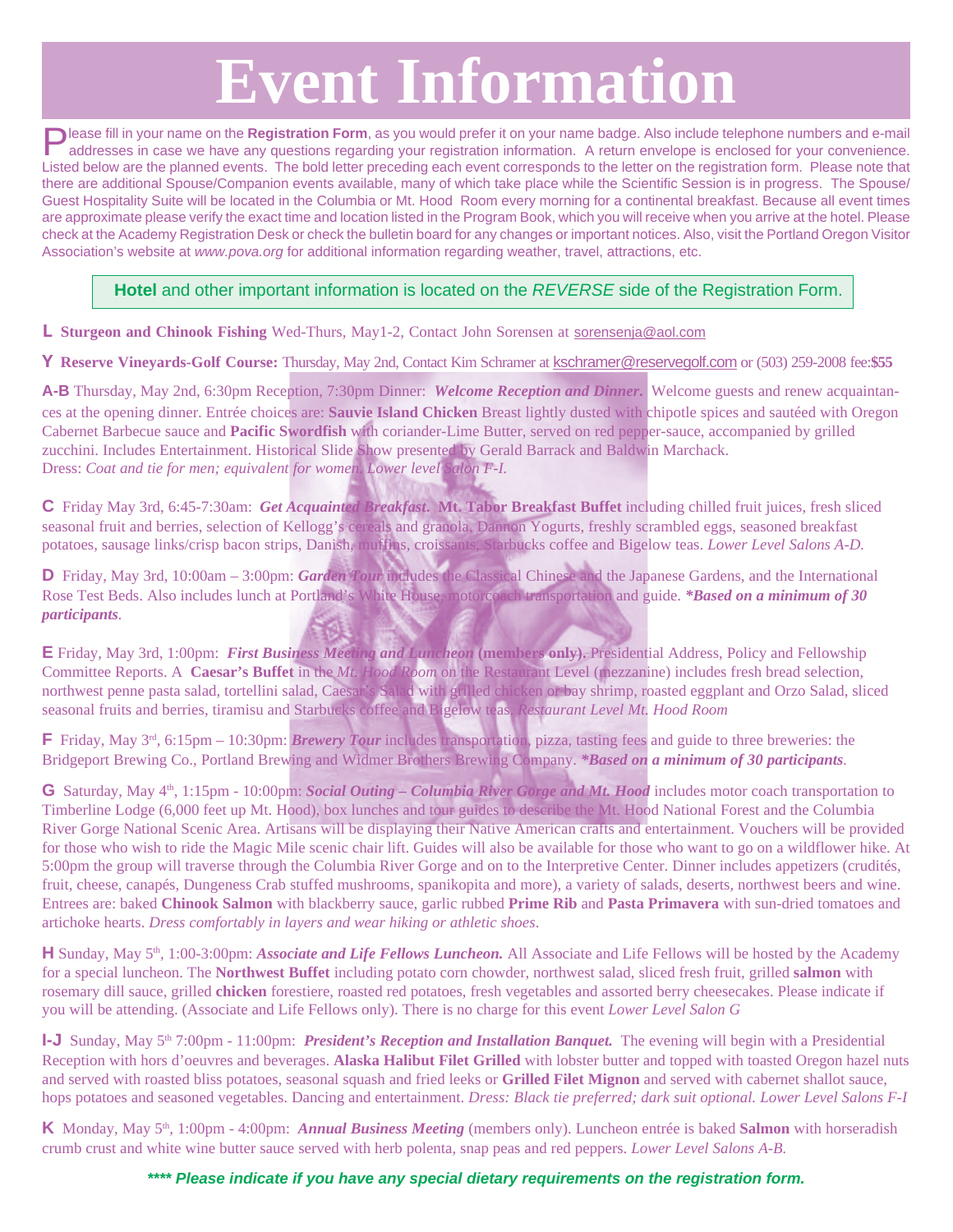# **Event Information**

**Please fill in your name on the Registration Form**, as you would prefer it on your name badge. Also include telephone numbers and e-mail addresses in case we have any questions regarding your registration information. A return envelope is enclosed for your convenience. Listed below are the planned events. The bold letter preceding each event corresponds to the letter on the registration form. Please note that there are additional Spouse/Companion events available, many of which take place while the Scientific Session is in progress. The Spouse/ Guest Hospitality Suite will be located in the Columbia or Mt. Hood Room every morning for a continental breakfast. Because all event times are approximate please verify the exact time and location listed in the Program Book, which you will receive when you arrive at the hotel. Please check at the Academy Registration Desk or check the bulletin board for any changes or important notices. Also, visit the Portland Oregon Visitor Association's website at www.pova.org for additional information regarding weather, travel, attractions, etc.

#### **Hotel** and other important information is located on the REVERSE side of the Registration Form.

**L Sturgeon and Chinook Fishing** Wed-Thurs, May1-2, Contact John Sorensen at sorensenja@aol.com

**Y Reserve Vineyards-Golf Course:** Thursday, May 2nd, Contact Kim Schramer at kschramer@reservegolf.com or (503) 259-2008 fee:**\$55**

**A-B** Thursday, May 2nd, 6:30pm Reception, 7:30pm Dinner:*Welcome Reception and Dinner***.** Welcome guests and renew acquaintances at the opening dinner. Entrée choices are: **Sauvie Island Chicken** Breast lightly dusted with chipotle spices and sautéed with Oregon Cabernet Barbecue sauce and **Pacific Swordfish** with coriander-Lime Butter, served on red pepper-sauce, accompanied by grilled zucchini. Includes Entertainment. Historical Slide Show presented by Gerald Barrack and Baldwin Marchack. Dress: *Coat and tie for men; equivalent for women. Lower level Salon F-I.*

**C** Friday May 3rd, 6:45-7:30am: *Get Acquainted Breakfast***. Mt. Tabor Breakfast Buffet** including chilled fruit juices, fresh sliced seasonal fruit and berries, selection of Kellogg's cereals and granola, Dannon Yogurts, freshly scrambled eggs, seasoned breakfast potatoes, sausage links/crisp bacon strips, Danish, muffins, croissants, Starbucks coffee and Bigelow teas. *Lower Level Salons A-D.*

**D** Friday, May 3rd, 10:00am – 3:00pm: *Garden Tour* includes the Classical Chinese and the Japanese Gardens, and the International Rose Test Beds. Also includes lunch at Portland's White House, motorcoach transportation and guide. *\*Based on a minimum of 30 participants.*

**E** Friday, May 3rd, 1:00pm: *First Business Meeting and Luncheon* **(members only).** Presidential Address, Policy and Fellowship Committee Reports. A **Caesar's Buffet** in the *Mt. Hood Room* on the Restaurant Level (mezzanine) includes fresh bread selection, northwest penne pasta salad, tortellini salad, Caesar's Salad with grilled chicken or bay shrimp, roasted eggplant and Orzo Salad, sliced seasonal fruits and berries, tiramisu and Starbucks coffee and Bigelow teas. *Restaurant Level Mt. Hood Room*

**F** Friday, May 3<sup>rd</sup>, 6:15pm – 10:30pm: *Brewery Tour* includes transportation, pizza, tasting fees and guide to three breweries: the Bridgeport Brewing Co., Portland Brewing and Widmer Brothers Brewing Company. *\*Based on a minimum of 30 participants.*

**G** Saturday, May 4<sup>th</sup>, 1:15pm - 10:00pm: *Social Outing – Columbia River Gorge and Mt. Hood* includes motor coach transportation to Timberline Lodge (6,000 feet up Mt. Hood), box lunches and tour guides to describe the Mt. Hood National Forest and the Columbia River Gorge National Scenic Area. Artisans will be displaying their Native American crafts and entertainment. Vouchers will be provided for those who wish to ride the Magic Mile scenic chair lift. Guides will also be available for those who want to go on a wildflower hike. At 5:00pm the group will traverse through the Columbia River Gorge and on to the Interpretive Center. Dinner includes appetizers (crudités, fruit, cheese, canapés, Dungeness Crab stuffed mushrooms, spanikopita and more), a variety of salads, deserts, northwest beers and wine. Entrees are: baked **Chinook Salmon** with blackberry sauce, garlic rubbed **Prime Rib** and **Pasta Primavera** with sun-dried tomatoes and artichoke hearts. *Dress comfortably in layers and wear hiking or athletic shoes*.

**H** Sunday, May 5<sup>th</sup>, 1:00-3:00pm: *Associate and Life Fellows Luncheon*. All Associate and Life Fellows will be hosted by the Academy for a special luncheon. The **Northwest Buffet** including potato corn chowder, northwest salad, sliced fresh fruit, grilled **salmon** with rosemary dill sauce, grilled **chicken** forestiere, roasted red potatoes, fresh vegetables and assorted berry cheesecakes. Please indicate if you will be attending. (Associate and Life Fellows only). There is no charge for this event *Lower Level Salon G*

**I-J** Sunday, May 5<sup>th</sup> 7:00pm - 11:00pm: *President's Reception and Installation Banquet*. The evening will begin with a Presidential Reception with hors d'oeuvres and beverages. **Alaska Halibut Filet Grilled** with lobster butter and topped with toasted Oregon hazel nuts and served with roasted bliss potatoes, seasonal squash and fried leeks or **Grilled Filet Mignon** and served with cabernet shallot sauce, hops potatoes and seasoned vegetables. Dancing and entertainment. *Dress: Black tie preferred; dark suit optional. Lower Level Salons F-I*

**K** Monday, May 5<sup>th</sup>, 1:00pm - 4:00pm: *Annual Business Meeting* (members only). Luncheon entrée is baked **Salmon** with horseradish crumb crust and white wine butter sauce served with herb polenta, snap peas and red peppers. *Lower Level Salons A-B.*

**\*\*\*\* Please indicate if you have any special dietary requirements on the registration form.**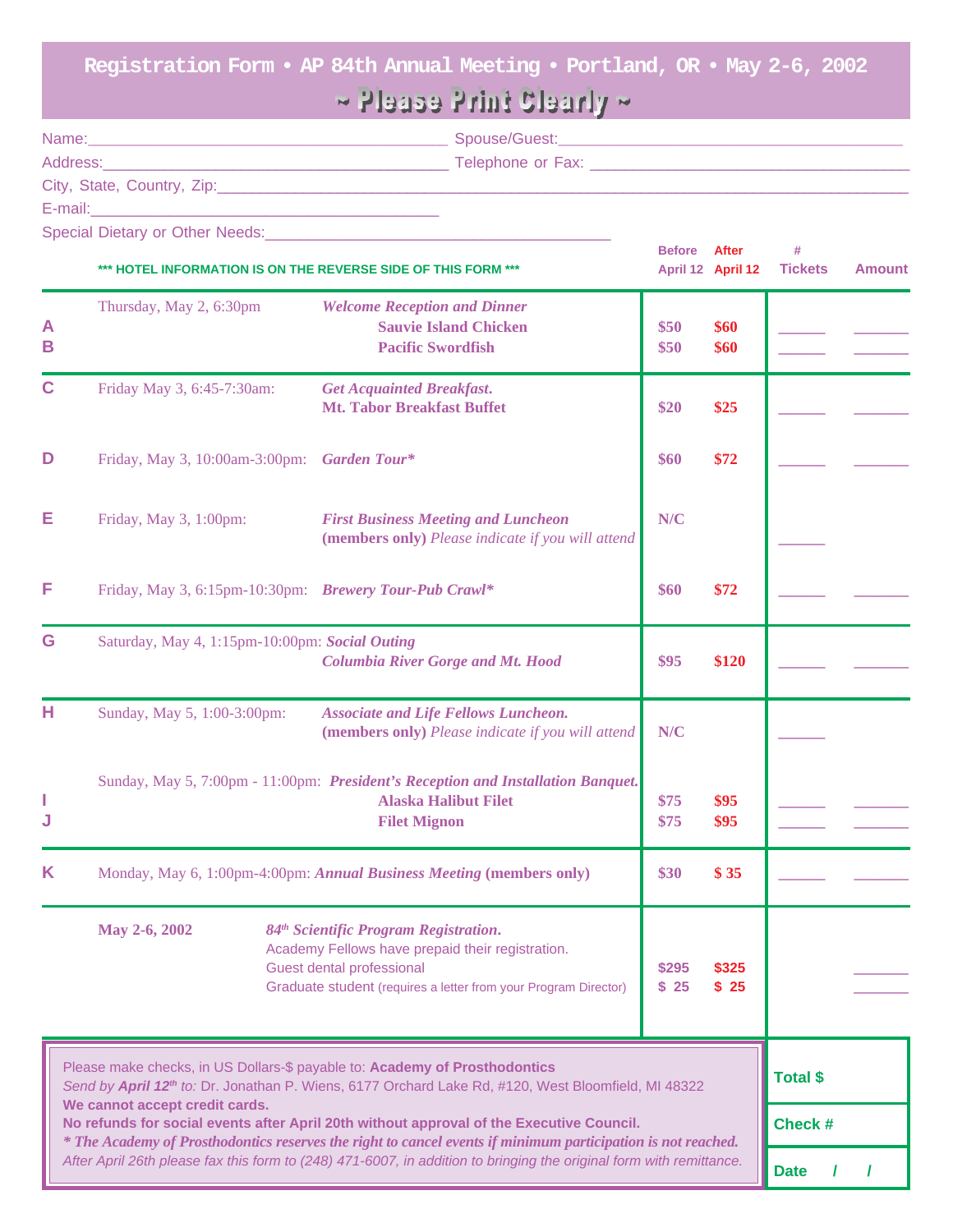**Registration Form • AP 84th Annual Meeting • Portland, OR • May 2-6, 2002**

# $\sim$  Please Print Clearly  $\sim$

| Name:                      | Spouse/Guest:     |  |
|----------------------------|-------------------|--|
| Address:                   | Telephone or Fax: |  |
| City, State, Country, Zip: |                   |  |
| E-mail:                    |                   |  |

**Before After #**

Special Dietary or Other Needs:

| *** HOTEL INFORMATION IS ON THE REVERSE SIDE OF THIS FORM ***                                                                                                                                                                                                                                                                                                                                                                               |                                                                                                                                                                                                                                                                                                                         | April 12 April 12                                                                                                                      |               | <b>Tickets</b> | <b>Amount</b>   |  |
|---------------------------------------------------------------------------------------------------------------------------------------------------------------------------------------------------------------------------------------------------------------------------------------------------------------------------------------------------------------------------------------------------------------------------------------------|-------------------------------------------------------------------------------------------------------------------------------------------------------------------------------------------------------------------------------------------------------------------------------------------------------------------------|----------------------------------------------------------------------------------------------------------------------------------------|---------------|----------------|-----------------|--|
| A<br>B                                                                                                                                                                                                                                                                                                                                                                                                                                      | Thursday, May 2, 6:30pm                                                                                                                                                                                                                                                                                                 | <b>Welcome Reception and Dinner</b><br><b>Sauvie Island Chicken</b><br><b>Pacific Swordfish</b>                                        | \$50<br>\$50  | \$60<br>\$60   |                 |  |
| $\mathbf C$                                                                                                                                                                                                                                                                                                                                                                                                                                 | Friday May 3, 6:45-7:30am:                                                                                                                                                                                                                                                                                              | <b>Get Acquainted Breakfast.</b><br><b>Mt. Tabor Breakfast Buffet</b>                                                                  | \$20          | \$25           |                 |  |
| D                                                                                                                                                                                                                                                                                                                                                                                                                                           | Friday, May 3, 10:00am-3:00pm: Garden Tour*                                                                                                                                                                                                                                                                             |                                                                                                                                        | \$60          | \$72           |                 |  |
| Е                                                                                                                                                                                                                                                                                                                                                                                                                                           | Friday, May 3, 1:00pm:                                                                                                                                                                                                                                                                                                  | <b>First Business Meeting and Luncheon</b><br>(members only) Please indicate if you will attend                                        | N/C           |                |                 |  |
| F                                                                                                                                                                                                                                                                                                                                                                                                                                           | Friday, May 3, 6:15pm-10:30pm: Brewery Tour-Pub Crawl*                                                                                                                                                                                                                                                                  |                                                                                                                                        | \$60          | \$72           |                 |  |
| G                                                                                                                                                                                                                                                                                                                                                                                                                                           | Saturday, May 4, 1:15pm-10:00pm: Social Outing                                                                                                                                                                                                                                                                          | <b>Columbia River Gorge and Mt. Hood</b>                                                                                               | \$95          | \$120          |                 |  |
| н                                                                                                                                                                                                                                                                                                                                                                                                                                           | Sunday, May 5, 1:00-3:00pm:                                                                                                                                                                                                                                                                                             | <b>Associate and Life Fellows Luncheon.</b><br>(members only) Please indicate if you will attend                                       | N/C           |                |                 |  |
| L<br>J                                                                                                                                                                                                                                                                                                                                                                                                                                      |                                                                                                                                                                                                                                                                                                                         | Sunday, May 5, 7:00pm - 11:00pm: President's Reception and Installation Banquet.<br><b>Alaska Halibut Filet</b><br><b>Filet Mignon</b> | \$75<br>\$75  | \$95<br>\$95   |                 |  |
| Κ                                                                                                                                                                                                                                                                                                                                                                                                                                           | Monday, May 6, 1:00pm-4:00pm: Annual Business Meeting (members only)<br>\$30<br>84 <sup>th</sup> Scientific Program Registration.<br>May 2-6, 2002<br>Academy Fellows have prepaid their registration.<br>Guest dental professional<br>\$295<br>Graduate student (requires a letter from your Program Director)<br>\$25 |                                                                                                                                        |               | \$35           |                 |  |
|                                                                                                                                                                                                                                                                                                                                                                                                                                             |                                                                                                                                                                                                                                                                                                                         |                                                                                                                                        | \$325<br>\$25 |                |                 |  |
| Please make checks, in US Dollars-\$ payable to: Academy of Prosthodontics<br>Send by April 12 <sup>th</sup> to: Dr. Jonathan P. Wiens, 6177 Orchard Lake Rd, #120, West Bloomfield, MI 48322<br>We cannot accept credit cards.<br>No refunds for social events after April 20th without approval of the Executive Council.<br>* The Academy of Prosthodontics reserves the right to cancel events if minimum participation is not reached. |                                                                                                                                                                                                                                                                                                                         |                                                                                                                                        |               |                | <b>Total \$</b> |  |
|                                                                                                                                                                                                                                                                                                                                                                                                                                             |                                                                                                                                                                                                                                                                                                                         |                                                                                                                                        |               |                | Check #         |  |
|                                                                                                                                                                                                                                                                                                                                                                                                                                             | After April 26th please fax this form to (248) 471-6007, in addition to bringing the original form with remittance.                                                                                                                                                                                                     |                                                                                                                                        |               |                | <b>Date</b>     |  |